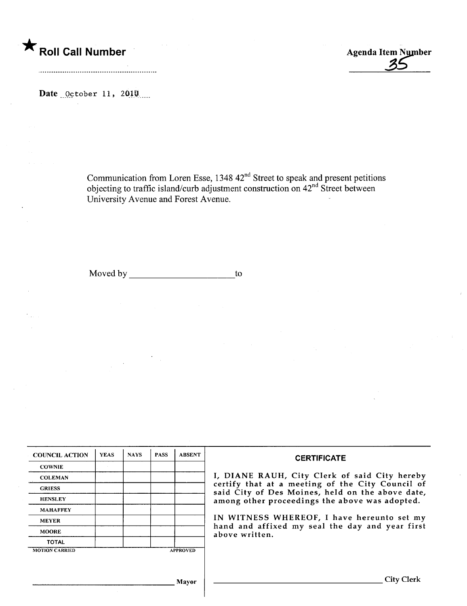

Date  $0$ ctober 11, 2010

Communication from Loren Esse, 1348 42<sup>nd</sup> Street to speak and present petitions objecting to traffic island/curb adjustment construction on  $42<sup>nd</sup>$  Street between University Avenue and Forest Avenue.

Moved by to to the matrix of the matrix of the matrix of the matrix  $\sim$ 

| <b>COUNCIL ACTION</b> | <b>YEAS</b> | <b>NAYS</b> | <b>PASS</b> | <b>ABSENT</b>   | <b>CERTIFICATE</b>                                                                                                                                     |  |
|-----------------------|-------------|-------------|-------------|-----------------|--------------------------------------------------------------------------------------------------------------------------------------------------------|--|
| <b>COWNIE</b>         |             |             |             |                 |                                                                                                                                                        |  |
| <b>COLEMAN</b>        |             |             |             |                 | I, DIANE RAUH, City Clerk of said City hereby                                                                                                          |  |
| <b>GRIESS</b>         |             |             |             |                 | certify that at a meeting of the City Council of<br>said City of Des Moines, held on the above date,<br>among other proceedings the above was adopted. |  |
| <b>HENSLEY</b>        |             |             |             |                 |                                                                                                                                                        |  |
| <b>MAHAFFEY</b>       |             |             |             |                 | IN WITNESS WHEREOF, I have hereunto set my                                                                                                             |  |
| <b>MEYER</b>          |             |             |             |                 |                                                                                                                                                        |  |
| <b>MOORE</b>          |             |             |             |                 | hand and affixed my seal the day and year first<br>above written.                                                                                      |  |
| <b>TOTAL</b>          |             |             |             |                 |                                                                                                                                                        |  |
| <b>MOTION CARRIED</b> |             |             |             | <b>APPROVED</b> |                                                                                                                                                        |  |
|                       |             |             |             |                 |                                                                                                                                                        |  |
|                       |             |             |             |                 |                                                                                                                                                        |  |
|                       |             |             |             | <b>Mayor</b>    | City Clerk                                                                                                                                             |  |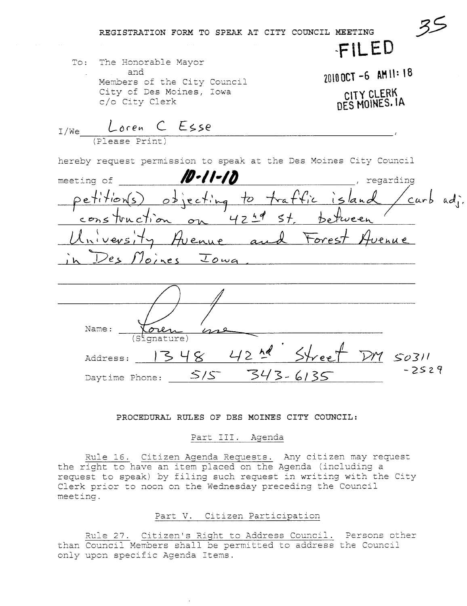REGISTRATION FORM TO SPEAK AT CITY COUNCIL MEETING

To: The Honorable Mayor and Members of the City Council City of Des Moines, Iowa c/o City Clerk

2010 OCT -6 AM 11:18 CITY CLERK DES MOINES, IA

FILED

 $L$ oren  $C$  Esse  $I/We$ (Please Prin hereby request permission to speak at the Des Moines City Council /D-11-17 meeting of regarding jecting to tratific carb ad;  $47$ Hvenue and Forest  $1$ )e c  $oines$   $Ioua$ Name: qnature)  $42$  hd  $54$ ree  $\ltimes$  $134$  $SO(71)$ Address:  $-2529$ 343- $6135$  $S/S^-$ Daytime Phone:

## PROCEDURAL RULES OF DES MOINES CITY COUNCIL:

## Part III. Agenda

Rule 16. Citizen Agenda Requests. Any citizen may request the right to have an item placed on the Agenda (including a request to speak) by filing such request in writing with the City Clerk prior to noon on the Wednesday preceding the Council meeting.

## Part V. Citizen Participation

Rule 27. Citizen's Right to Address Council. Persons other than Council Members shall be permitted to address the Council only upon specific Agenda Items.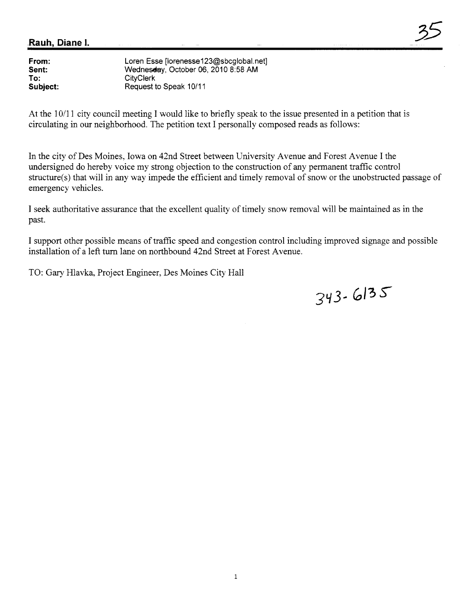| From:    | Loren Esse [lorenesse123@sbcglobal.net] |
|----------|-----------------------------------------|
| Sent:    | Wednesday, October 06, 2010 8:58 AM     |
| To:      | CityClerk                               |
| Subject: | Request to Speak 10/11                  |
|          |                                         |

At the 10/11 city council meeting I would like to briefly speak to the issue presented in a petition that is circulating in our neighborhood. The petition text I personally composed reads as follows:

In the city of Des Moines, Iowa on 42nd Street between University Avenue and Forest Avenue I the undersigned do hereby voice my strong objection to the construction of any permanent traffic control structure(s) that will in any way impede the efficient and timely removal of snow or the unobstructed passage of emergency vehicles.

I seek authoritative assurance that the excellent quality of timely snow removal will be maintained as in the past.

I support other possible means of traffic speed and congestion control including improved signage and possible installation of a left turn lane on northbound 42nd Street at Forest Avenue.

TO: Gary Hlavka, Project Engineer, Des Moines City Hall

 $343.6135$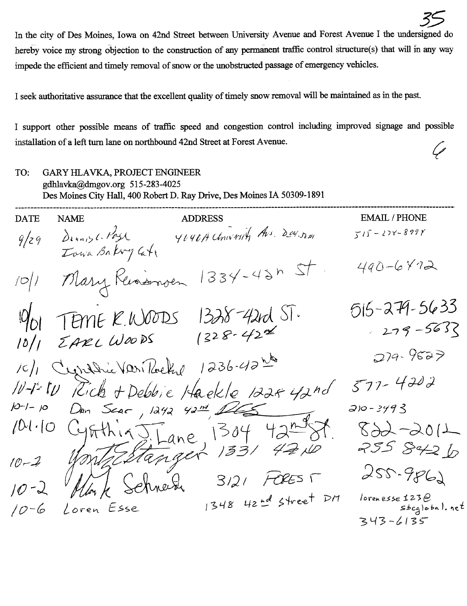In the city of Des Moines, Iowa on 42nd Street between University Avenue and Forest Avenue I the undersigned do hereby voice my strong objection to the construction of any permanent traffic control structure(s) that will in any way impede the efficient and timely removal of snow or the unobstructed passage of emergency vehicles.

I seek authoritative assurance that the excellent quality of timely snow removal will be maintained as in the past.

I support other possible means of traffic speed and congestion control including improved signage and possible installation of a left turn lane on northbound 42nd Street at Forest Avenue.

| TO:<br>GARY HLAVKA, PROJECT ENGINEER<br>gdhlavka@dmgov.org 515-283-4025<br>Des Moines City Hall, 400 Robert D. Ray Drive, Des Moines IA 50309-1891 |                                  |                                                                          |                                       |  |  |  |  |
|----------------------------------------------------------------------------------------------------------------------------------------------------|----------------------------------|--------------------------------------------------------------------------|---------------------------------------|--|--|--|--|
| <b>DATE</b>                                                                                                                                        | <b>NAME</b>                      | <b>ADDRESS</b>                                                           | <b>EMAIL / PHONE</b>                  |  |  |  |  |
| 9/29                                                                                                                                               | Dennisle Past<br>Iowa Bakry Cati | YOURA Chiverity Avs. Der. Dan                                            | $515 - 274 - 8998$                    |  |  |  |  |
| 10/1                                                                                                                                               | Mary Russmon                     | $1334-4245$                                                              | $490 - 6472$                          |  |  |  |  |
|                                                                                                                                                    |                                  |                                                                          | $515 - 279 - 5633$                    |  |  |  |  |
|                                                                                                                                                    |                                  | $\frac{10}{10}$ / TEME K.WOODS 1328-42rd ST.<br>10/1 EARL WOODS 1328-422 | $279 - 563$                           |  |  |  |  |
|                                                                                                                                                    |                                  |                                                                          |                                       |  |  |  |  |
|                                                                                                                                                    |                                  | 10/1 Cronadrie Vari Parelie 1236-42 les                                  | $279 - 9527$                          |  |  |  |  |
|                                                                                                                                                    |                                  | 10-1-10 Rich + Debbie Haekle 1224 42nd                                   | 577-4202                              |  |  |  |  |
|                                                                                                                                                    |                                  |                                                                          | $210 - 3493$                          |  |  |  |  |
| 10(1.10)                                                                                                                                           |                                  | CynthiasTane 1304 42nd St.<br>World Stanger 1331 42ND                    | $899 - 901$                           |  |  |  |  |
| $0 - 2$                                                                                                                                            |                                  |                                                                          | 255 842 b                             |  |  |  |  |
| $10 - 2$                                                                                                                                           |                                  | Monk Schneider 3121 FOREST                                               | $255 - 9862$                          |  |  |  |  |
| $10 - 6$                                                                                                                                           | Loren Esse                       | 1348 42nd Street DM                                                      | lorenesse $1230$<br>$stabcg$ obal. ne |  |  |  |  |
|                                                                                                                                                    |                                  |                                                                          | 343-6135                              |  |  |  |  |

 $\epsilon$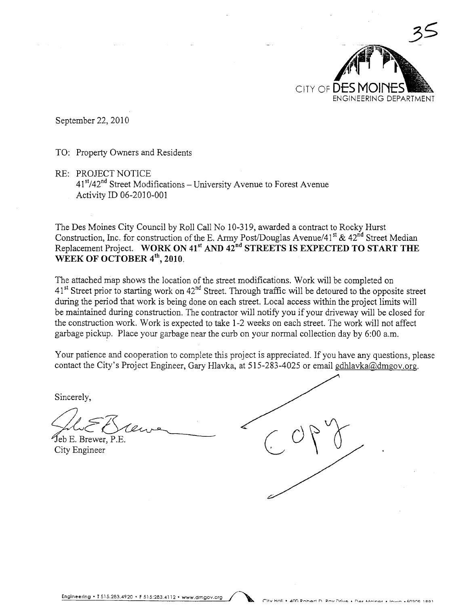

September 22, 2010

TO: Property Owners and Residents

**RE: PROJECT NOTICE**  $41<sup>st</sup>/42<sup>nd</sup>$  Street Modifications – University Avenue to Forest Avenue Activity ID 06-2010-001

The Des Moines City Council by Roll Call No 10-319, awarded a contract to Rocky Hurst Construction, Inc. for construction of the E. Army Post/Douglas Avenue/41<sup>st</sup> & 42<sup>nd</sup> Street Median Replacement Project. WORK ON 41<sup>st</sup> AND 42<sup>nd</sup> STREETS IS EXPECTED TO START THE WEEK OF OCTOBER 4th, 2010.

The attached map shows the location of the street modifications. Work will be completed on 41<sup>st</sup> Street prior to starting work on 42<sup>nd</sup> Street. Through traffic will be detoured to the opposite street during the period that work is being done on each street. Local access within the project limits will be maintained during construction. The contractor will notify you if your driveway will be closed for the construction work. Work is expected to take 1-2 weeks on each street. The work will not affect garbage pickup. Place your garbage near the curb on your normal collection day by 6:00 a.m.

Your patience and cooperation to complete this project is appreciated. If you have any questions, please contact the City's Project Engineer, Gary Hlavka, at 515-283-4025 or email gdhlavka@dmgov.org.

Sincerely,

Jeb E. Brewer, P.E. City Engineer